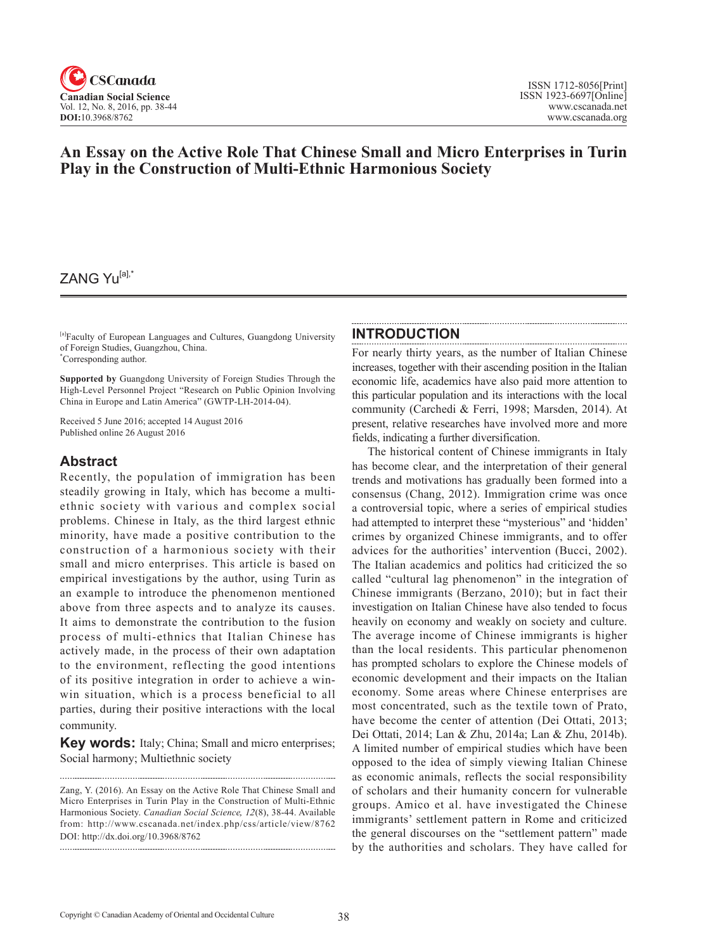

# **An Essay on the Active Role That Chinese Small and Micro Enterprises in Turin Play in the Construction of Multi-Ethnic Harmonious Society**

# ZANG Yu<sup>[a],\*</sup>

[a]Faculty of European Languages and Cultures, Guangdong University of Foreign Studies, Guangzhou, China. \* Corresponding author.

**Supported by** Guangdong University of Foreign Studies Through the High-Level Personnel Project "Research on Public Opinion Involving China in Europe and Latin America" (GWTP-LH-2014-04).

Received 5 June 2016; accepted 14 August 2016 Published online 26 August 2016

### **Abstract**

Recently, the population of immigration has been steadily growing in Italy, which has become a multiethnic society with various and complex social problems. Chinese in Italy, as the third largest ethnic minority, have made a positive contribution to the construction of a harmonious society with their small and micro enterprises. This article is based on empirical investigations by the author, using Turin as an example to introduce the phenomenon mentioned above from three aspects and to analyze its causes. It aims to demonstrate the contribution to the fusion process of multi-ethnics that Italian Chinese has actively made, in the process of their own adaptation to the environment, reflecting the good intentions of its positive integration in order to achieve a winwin situation, which is a process beneficial to all parties, during their positive interactions with the local community.

**Key words:** Italy; China; Small and micro enterprises; Social harmony; Multiethnic society

#### **INTRODUCTION**

For nearly thirty years, as the number of Italian Chinese increases, together with their ascending position in the Italian economic life, academics have also paid more attention to this particular population and its interactions with the local community (Carchedi & Ferri, 1998; Marsden, 2014). At present, relative researches have involved more and more fields, indicating a further diversification.

The historical content of Chinese immigrants in Italy has become clear, and the interpretation of their general trends and motivations has gradually been formed into a consensus (Chang, 2012). Immigration crime was once a controversial topic, where a series of empirical studies had attempted to interpret these "mysterious" and 'hidden' crimes by organized Chinese immigrants, and to offer advices for the authorities' intervention (Bucci, 2002). The Italian academics and politics had criticized the so called "cultural lag phenomenon" in the integration of Chinese immigrants (Berzano, 2010); but in fact their investigation on Italian Chinese have also tended to focus heavily on economy and weakly on society and culture. The average income of Chinese immigrants is higher than the local residents. This particular phenomenon has prompted scholars to explore the Chinese models of economic development and their impacts on the Italian economy. Some areas where Chinese enterprises are most concentrated, such as the textile town of Prato, have become the center of attention (Dei Ottati, 2013; Dei Ottati, 2014; Lan & Zhu, 2014a; Lan & Zhu, 2014b). A limited number of empirical studies which have been opposed to the idea of simply viewing Italian Chinese as economic animals, reflects the social responsibility of scholars and their humanity concern for vulnerable groups. Amico et al. have investigated the Chinese immigrants' settlement pattern in Rome and criticized the general discourses on the "settlement pattern" made by the authorities and scholars. They have called for

Zang, Y. (2016). An Essay on the Active Role That Chinese Small and Micro Enterprises in Turin Play in the Construction of Multi-Ethnic Harmonious Society. *Canadian Social Science*, <sup>12</sup>(8), 38-44. Available from: http://www.cscanada.net/index.php/css/article/view/8762 DOI: http://dx.doi.org/10.3968/8762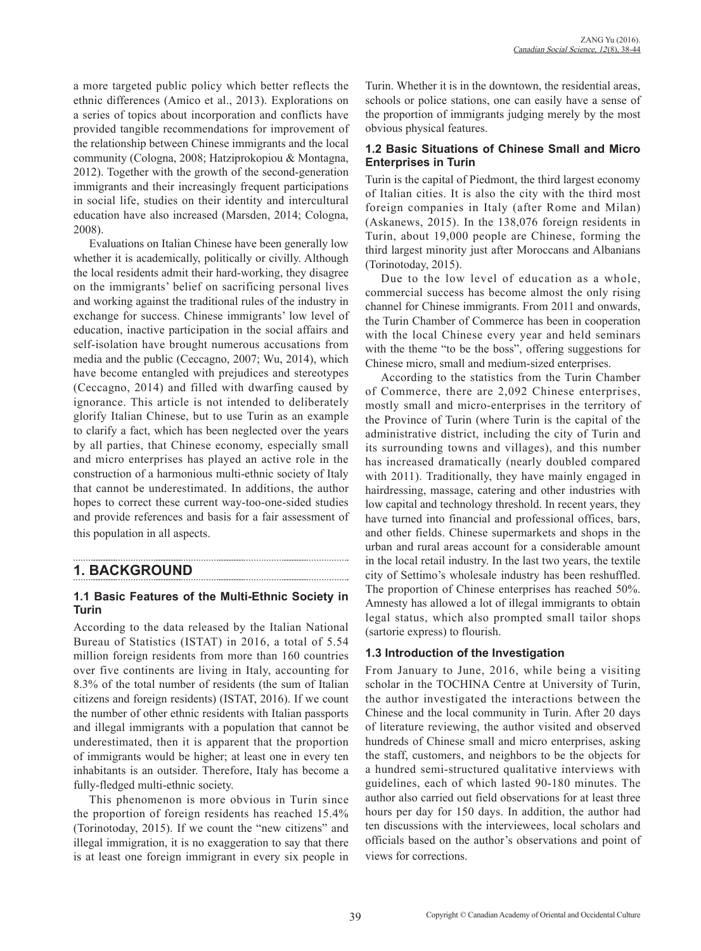a more targeted public policy which better reflects the ethnic differences (Amico et al., 2013). Explorations on a series of topics about incorporation and conflicts have provided tangible recommendations for improvement of the relationship between Chinese immigrants and the local community (Cologna, 2008; Hatziprokopiou & Montagna, 2012). Together with the growth of the second-generation immigrants and their increasingly frequent participations in social life, studies on their identity and intercultural education have also increased (Marsden, 2014; Cologna, 2008).

Evaluations on Italian Chinese have been generally low whether it is academically, politically or civilly. Although the local residents admit their hard-working, they disagree on the immigrants' belief on sacrificing personal lives and working against the traditional rules of the industry in exchange for success. Chinese immigrants' low level of education, inactive participation in the social affairs and self-isolation have brought numerous accusations from media and the public (Ceccagno, 2007; Wu, 2014), which have become entangled with prejudices and stereotypes (Ceccagno, 2014) and filled with dwarfing caused by ignorance. This article is not intended to deliberately glorify Italian Chinese, but to use Turin as an example to clarify a fact, which has been neglected over the years by all parties, that Chinese economy, especially small and micro enterprises has played an active role in the construction of a harmonious multi-ethnic society of Italy that cannot be underestimated. In additions, the author hopes to correct these current way-too-one-sided studies and provide references and basis for a fair assessment of this population in all aspects.

**1. BACKGROUND**

### **1.1 Basic Features of the Multi-Ethnic Society in Turin**

According to the data released by the Italian National Bureau of Statistics (ISTAT) in 2016, a total of 5.54 million foreign residents from more than 160 countries over five continents are living in Italy, accounting for 8.3% of the total number of residents (the sum of Italian citizens and foreign residents) (ISTAT, 2016). If we count the number of other ethnic residents with Italian passports and illegal immigrants with a population that cannot be underestimated, then it is apparent that the proportion of immigrants would be higher; at least one in every ten inhabitants is an outsider. Therefore, Italy has become a fully-fledged multi-ethnic society.

This phenomenon is more obvious in Turin since the proportion of foreign residents has reached 15.4% (Torinotoday, 2015). If we count the "new citizens" and illegal immigration, it is no exaggeration to say that there is at least one foreign immigrant in every six people in Turin. Whether it is in the downtown, the residential areas, schools or police stations, one can easily have a sense of the proportion of immigrants judging merely by the most obvious physical features.

### **1.2 Basic Situations of Chinese Small and Micro Enterprises in Turin**

Turin is the capital of Piedmont, the third largest economy of Italian cities. It is also the city with the third most foreign companies in Italy (after Rome and Milan) (Askanews, 2015). In the 138,076 foreign residents in Turin, about 19,000 people are Chinese, forming the third largest minority just after Moroccans and Albanians (Torinotoday, 2015).

Due to the low level of education as a whole, commercial success has become almost the only rising channel for Chinese immigrants. From 2011 and onwards, the Turin Chamber of Commerce has been in cooperation with the local Chinese every year and held seminars with the theme "to be the boss", offering suggestions for Chinese micro, small and medium-sized enterprises.

According to the statistics from the Turin Chamber of Commerce, there are 2,092 Chinese enterprises, mostly small and micro-enterprises in the territory of the Province of Turin (where Turin is the capital of the administrative district, including the city of Turin and its surrounding towns and villages), and this number has increased dramatically (nearly doubled compared with 2011). Traditionally, they have mainly engaged in hairdressing, massage, catering and other industries with low capital and technology threshold. In recent years, they have turned into financial and professional offices, bars, and other fields. Chinese supermarkets and shops in the urban and rural areas account for a considerable amount in the local retail industry. In the last two years, the textile city of Settimo's wholesale industry has been reshuffled. The proportion of Chinese enterprises has reached 50%. Amnesty has allowed a lot of illegal immigrants to obtain legal status, which also prompted small tailor shops (sartorie express) to flourish.

### **1.3 Introduction of the Investigation**

From January to June, 2016, while being a visiting scholar in the TOCHINA Centre at University of Turin, the author investigated the interactions between the Chinese and the local community in Turin. After 20 days of literature reviewing, the author visited and observed hundreds of Chinese small and micro enterprises, asking the staff, customers, and neighbors to be the objects for a hundred semi-structured qualitative interviews with guidelines, each of which lasted 90-180 minutes. The author also carried out field observations for at least three hours per day for 150 days. In addition, the author had ten discussions with the interviewees, local scholars and officials based on the author's observations and point of views for corrections.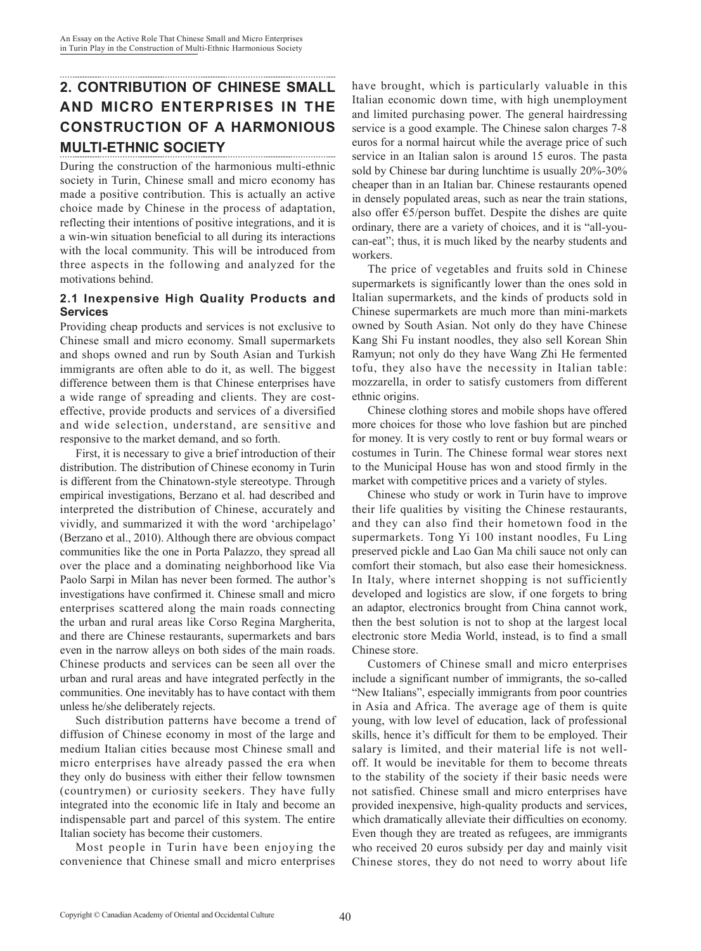# **2. CONTRIBUTION OF CHINESE SMALL AND MICRO ENTERPRISES IN THE CONSTRUCTION OF A HARMONIOUS MULTI-ETHNIC SOCIETY**

During the construction of the harmonious multi-ethnic society in Turin, Chinese small and micro economy has made a positive contribution. This is actually an active choice made by Chinese in the process of adaptation, reflecting their intentions of positive integrations, and it is a win-win situation beneficial to all during its interactions with the local community. This will be introduced from three aspects in the following and analyzed for the motivations behind.

### **2.1 Inexpensive High Quality Products and Services**

Providing cheap products and services is not exclusive to Chinese small and micro economy. Small supermarkets and shops owned and run by South Asian and Turkish immigrants are often able to do it, as well. The biggest difference between them is that Chinese enterprises have a wide range of spreading and clients. They are costeffective, provide products and services of a diversified and wide selection, understand, are sensitive and responsive to the market demand, and so forth.

First, it is necessary to give a brief introduction of their distribution. The distribution of Chinese economy in Turin is different from the Chinatown-style stereotype. Through empirical investigations, Berzano et al. had described and interpreted the distribution of Chinese, accurately and vividly, and summarized it with the word 'archipelago' (Berzano et al., 2010). Although there are obvious compact communities like the one in Porta Palazzo, they spread all over the place and a dominating neighborhood like Via Paolo Sarpi in Milan has never been formed. The author's investigations have confirmed it. Chinese small and micro enterprises scattered along the main roads connecting the urban and rural areas like Corso Regina Margherita, and there are Chinese restaurants, supermarkets and bars even in the narrow alleys on both sides of the main roads. Chinese products and services can be seen all over the urban and rural areas and have integrated perfectly in the communities. One inevitably has to have contact with them unless he/she deliberately rejects.

Such distribution patterns have become a trend of diffusion of Chinese economy in most of the large and medium Italian cities because most Chinese small and micro enterprises have already passed the era when they only do business with either their fellow townsmen (countrymen) or curiosity seekers. They have fully integrated into the economic life in Italy and become an indispensable part and parcel of this system. The entire Italian society has become their customers.

Most people in Turin have been enjoying the convenience that Chinese small and micro enterprises have brought, which is particularly valuable in this Italian economic down time, with high unemployment and limited purchasing power. The general hairdressing service is a good example. The Chinese salon charges 7-8 euros for a normal haircut while the average price of such service in an Italian salon is around 15 euros. The pasta sold by Chinese bar during lunchtime is usually 20%-30% cheaper than in an Italian bar. Chinese restaurants opened in densely populated areas, such as near the train stations, also offer  $\epsilon$ 5/person buffet. Despite the dishes are quite ordinary, there are a variety of choices, and it is "all-youcan-eat"; thus, it is much liked by the nearby students and workers.

The price of vegetables and fruits sold in Chinese supermarkets is significantly lower than the ones sold in Italian supermarkets, and the kinds of products sold in Chinese supermarkets are much more than mini-markets owned by South Asian. Not only do they have Chinese Kang Shi Fu instant noodles, they also sell Korean Shin Ramyun; not only do they have Wang Zhi He fermented tofu, they also have the necessity in Italian table: mozzarella, in order to satisfy customers from different ethnic origins.

Chinese clothing stores and mobile shops have offered more choices for those who love fashion but are pinched for money. It is very costly to rent or buy formal wears or costumes in Turin. The Chinese formal wear stores next to the Municipal House has won and stood firmly in the market with competitive prices and a variety of styles.

Chinese who study or work in Turin have to improve their life qualities by visiting the Chinese restaurants, and they can also find their hometown food in the supermarkets. Tong Yi 100 instant noodles, Fu Ling preserved pickle and Lao Gan Ma chili sauce not only can comfort their stomach, but also ease their homesickness. In Italy, where internet shopping is not sufficiently developed and logistics are slow, if one forgets to bring an adaptor, electronics brought from China cannot work, then the best solution is not to shop at the largest local electronic store Media World, instead, is to find a small Chinese store.

Customers of Chinese small and micro enterprises include a significant number of immigrants, the so-called "New Italians", especially immigrants from poor countries in Asia and Africa. The average age of them is quite young, with low level of education, lack of professional skills, hence it's difficult for them to be employed. Their salary is limited, and their material life is not welloff. It would be inevitable for them to become threats to the stability of the society if their basic needs were not satisfied. Chinese small and micro enterprises have provided inexpensive, high-quality products and services, which dramatically alleviate their difficulties on economy. Even though they are treated as refugees, are immigrants who received 20 euros subsidy per day and mainly visit Chinese stores, they do not need to worry about life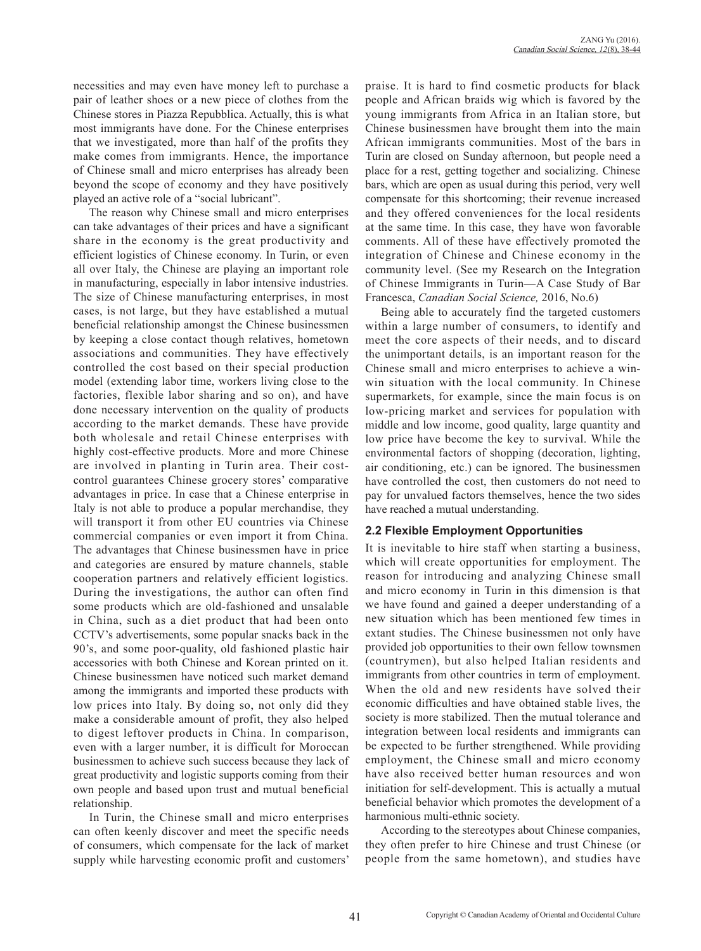necessities and may even have money left to purchase a pair of leather shoes or a new piece of clothes from the Chinese stores in Piazza Repubblica. Actually, this is what most immigrants have done. For the Chinese enterprises that we investigated, more than half of the profits they make comes from immigrants. Hence, the importance of Chinese small and micro enterprises has already been beyond the scope of economy and they have positively played an active role of a "social lubricant".

The reason why Chinese small and micro enterprises can take advantages of their prices and have a significant share in the economy is the great productivity and efficient logistics of Chinese economy. In Turin, or even all over Italy, the Chinese are playing an important role in manufacturing, especially in labor intensive industries. The size of Chinese manufacturing enterprises, in most cases, is not large, but they have established a mutual beneficial relationship amongst the Chinese businessmen by keeping a close contact though relatives, hometown associations and communities. They have effectively controlled the cost based on their special production model (extending labor time, workers living close to the factories, flexible labor sharing and so on), and have done necessary intervention on the quality of products according to the market demands. These have provide both wholesale and retail Chinese enterprises with highly cost-effective products. More and more Chinese are involved in planting in Turin area. Their costcontrol guarantees Chinese grocery stores' comparative advantages in price. In case that a Chinese enterprise in Italy is not able to produce a popular merchandise, they will transport it from other EU countries via Chinese commercial companies or even import it from China. The advantages that Chinese businessmen have in price and categories are ensured by mature channels, stable cooperation partners and relatively efficient logistics. During the investigations, the author can often find some products which are old-fashioned and unsalable in China, such as a diet product that had been onto CCTV's advertisements, some popular snacks back in the 90's, and some poor-quality, old fashioned plastic hair accessories with both Chinese and Korean printed on it. Chinese businessmen have noticed such market demand among the immigrants and imported these products with low prices into Italy. By doing so, not only did they make a considerable amount of profit, they also helped to digest leftover products in China. In comparison, even with a larger number, it is difficult for Moroccan businessmen to achieve such success because they lack of great productivity and logistic supports coming from their own people and based upon trust and mutual beneficial relationship.

In Turin, the Chinese small and micro enterprises can often keenly discover and meet the specific needs of consumers, which compensate for the lack of market supply while harvesting economic profit and customers'

praise. It is hard to find cosmetic products for black people and African braids wig which is favored by the young immigrants from Africa in an Italian store, but Chinese businessmen have brought them into the main African immigrants communities. Most of the bars in Turin are closed on Sunday afternoon, but people need a place for a rest, getting together and socializing. Chinese bars, which are open as usual during this period, very well compensate for this shortcoming; their revenue increased and they offered conveniences for the local residents at the same time. In this case, they have won favorable comments. All of these have effectively promoted the integration of Chinese and Chinese economy in the community level. (See my Research on the Integration of Chinese Immigrants in Turin—A Case Study of Bar Francesca, *Canadian Social Science,* 2016, No.6)

Being able to accurately find the targeted customers within a large number of consumers, to identify and meet the core aspects of their needs, and to discard the unimportant details, is an important reason for the Chinese small and micro enterprises to achieve a winwin situation with the local community. In Chinese supermarkets, for example, since the main focus is on low-pricing market and services for population with middle and low income, good quality, large quantity and low price have become the key to survival. While the environmental factors of shopping (decoration, lighting, air conditioning, etc.) can be ignored. The businessmen have controlled the cost, then customers do not need to pay for unvalued factors themselves, hence the two sides have reached a mutual understanding.

### **2.2 Flexible Employment Opportunities**

It is inevitable to hire staff when starting a business, which will create opportunities for employment. The reason for introducing and analyzing Chinese small and micro economy in Turin in this dimension is that we have found and gained a deeper understanding of a new situation which has been mentioned few times in extant studies. The Chinese businessmen not only have provided job opportunities to their own fellow townsmen (countrymen), but also helped Italian residents and immigrants from other countries in term of employment. When the old and new residents have solved their economic difficulties and have obtained stable lives, the society is more stabilized. Then the mutual tolerance and integration between local residents and immigrants can be expected to be further strengthened. While providing employment, the Chinese small and micro economy have also received better human resources and won initiation for self-development. This is actually a mutual beneficial behavior which promotes the development of a harmonious multi-ethnic society.

According to the stereotypes about Chinese companies, they often prefer to hire Chinese and trust Chinese (or people from the same hometown), and studies have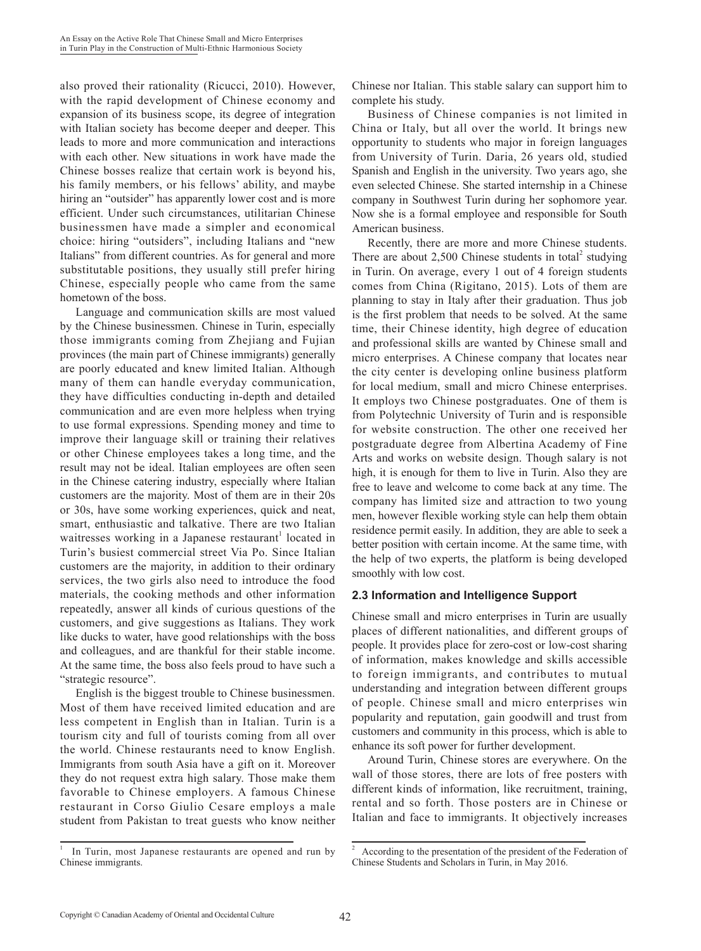also proved their rationality (Ricucci, 2010). However, with the rapid development of Chinese economy and expansion of its business scope, its degree of integration with Italian society has become deeper and deeper. This leads to more and more communication and interactions with each other. New situations in work have made the Chinese bosses realize that certain work is beyond his, his family members, or his fellows' ability, and maybe hiring an "outsider" has apparently lower cost and is more efficient. Under such circumstances, utilitarian Chinese businessmen have made a simpler and economical choice: hiring "outsiders", including Italians and "new Italians" from different countries. As for general and more substitutable positions, they usually still prefer hiring Chinese, especially people who came from the same hometown of the boss.

Language and communication skills are most valued by the Chinese businessmen. Chinese in Turin, especially those immigrants coming from Zhejiang and Fujian provinces (the main part of Chinese immigrants) generally are poorly educated and knew limited Italian. Although many of them can handle everyday communication, they have difficulties conducting in-depth and detailed communication and are even more helpless when trying to use formal expressions. Spending money and time to improve their language skill or training their relatives or other Chinese employees takes a long time, and the result may not be ideal. Italian employees are often seen in the Chinese catering industry, especially where Italian customers are the majority. Most of them are in their 20s or 30s, have some working experiences, quick and neat, smart, enthusiastic and talkative. There are two Italian waitresses working in a Japanese restaurant<sup>1</sup> located in Turin's busiest commercial street Via Po. Since Italian customers are the majority, in addition to their ordinary services, the two girls also need to introduce the food materials, the cooking methods and other information repeatedly, answer all kinds of curious questions of the customers, and give suggestions as Italians. They work like ducks to water, have good relationships with the boss and colleagues, and are thankful for their stable income. At the same time, the boss also feels proud to have such a "strategic resource".

English is the biggest trouble to Chinese businessmen. Most of them have received limited education and are less competent in English than in Italian. Turin is a tourism city and full of tourists coming from all over the world. Chinese restaurants need to know English. Immigrants from south Asia have a gift on it. Moreover they do not request extra high salary. Those make them favorable to Chinese employers. A famous Chinese restaurant in Corso Giulio Cesare employs a male student from Pakistan to treat guests who know neither

Chinese nor Italian. This stable salary can support him to complete his study.

Business of Chinese companies is not limited in China or Italy, but all over the world. It brings new opportunity to students who major in foreign languages from University of Turin. Daria, 26 years old, studied Spanish and English in the university. Two years ago, she even selected Chinese. She started internship in a Chinese company in Southwest Turin during her sophomore year. Now she is a formal employee and responsible for South American business.

Recently, there are more and more Chinese students. There are about  $2,500$  Chinese students in total<sup>2</sup> studying in Turin. On average, every 1 out of 4 foreign students comes from China (Rigitano, 2015). Lots of them are planning to stay in Italy after their graduation. Thus job is the first problem that needs to be solved. At the same time, their Chinese identity, high degree of education and professional skills are wanted by Chinese small and micro enterprises. A Chinese company that locates near the city center is developing online business platform for local medium, small and micro Chinese enterprises. It employs two Chinese postgraduates. One of them is from Polytechnic University of Turin and is responsible for website construction. The other one received her postgraduate degree from Albertina Academy of Fine Arts and works on website design. Though salary is not high, it is enough for them to live in Turin. Also they are free to leave and welcome to come back at any time. The company has limited size and attraction to two young men, however flexible working style can help them obtain residence permit easily. In addition, they are able to seek a better position with certain income. At the same time, with the help of two experts, the platform is being developed smoothly with low cost.

### **2.3 Information and Intelligence Support**

Chinese small and micro enterprises in Turin are usually places of different nationalities, and different groups of people. It provides place for zero-cost or low-cost sharing of information, makes knowledge and skills accessible to foreign immigrants, and contributes to mutual understanding and integration between different groups of people. Chinese small and micro enterprises win popularity and reputation, gain goodwill and trust from customers and community in this process, which is able to enhance its soft power for further development.

Around Turin, Chinese stores are everywhere. On the wall of those stores, there are lots of free posters with different kinds of information, like recruitment, training, rental and so forth. Those posters are in Chinese or Italian and face to immigrants. It objectively increases

In Turin, most Japanese restaurants are opened and run by Chinese immigrants.

<sup>&</sup>lt;sup>2</sup> According to the presentation of the president of the Federation of Chinese Students and Scholars in Turin, in May 2016.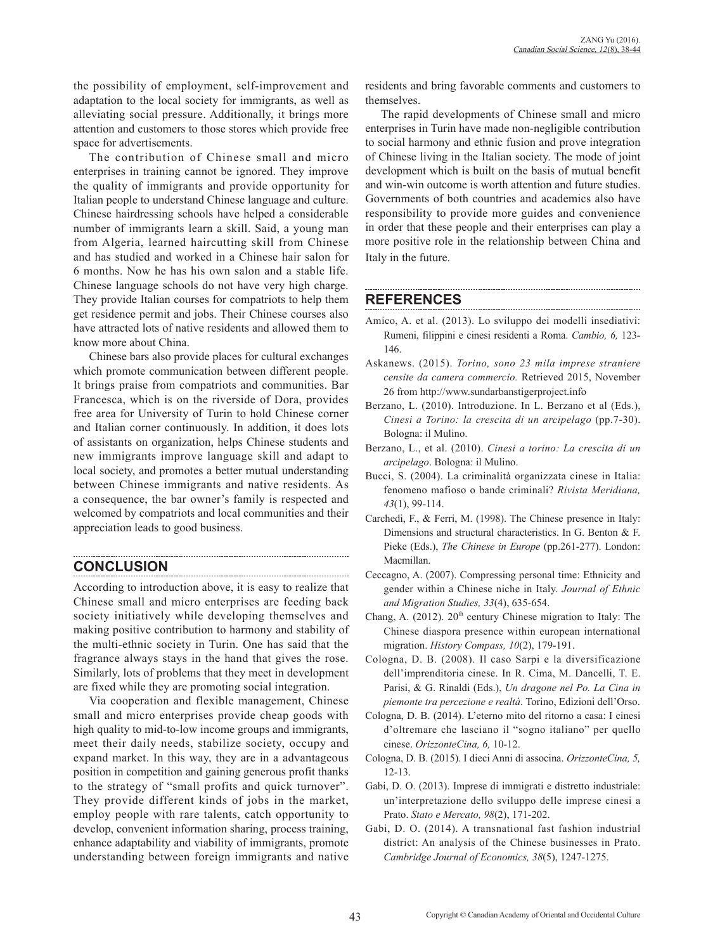the possibility of employment, self-improvement and adaptation to the local society for immigrants, as well as alleviating social pressure. Additionally, it brings more attention and customers to those stores which provide free space for advertisements.

The contribution of Chinese small and micro enterprises in training cannot be ignored. They improve the quality of immigrants and provide opportunity for Italian people to understand Chinese language and culture. Chinese hairdressing schools have helped a considerable number of immigrants learn a skill. Said, a young man from Algeria, learned haircutting skill from Chinese and has studied and worked in a Chinese hair salon for 6 months. Now he has his own salon and a stable life. Chinese language schools do not have very high charge. They provide Italian courses for compatriots to help them get residence permit and jobs. Their Chinese courses also have attracted lots of native residents and allowed them to know more about China.

Chinese bars also provide places for cultural exchanges which promote communication between different people. It brings praise from compatriots and communities. Bar Francesca, which is on the riverside of Dora, provides free area for University of Turin to hold Chinese corner and Italian corner continuously. In addition, it does lots of assistants on organization, helps Chinese students and new immigrants improve language skill and adapt to local society, and promotes a better mutual understanding between Chinese immigrants and native residents. As a consequence, the bar owner's family is respected and welcomed by compatriots and local communities and their appreciation leads to good business.

## **CONCLUSION**

According to introduction above, it is easy to realize that Chinese small and micro enterprises are feeding back society initiatively while developing themselves and making positive contribution to harmony and stability of the multi-ethnic society in Turin. One has said that the fragrance always stays in the hand that gives the rose. Similarly, lots of problems that they meet in development are fixed while they are promoting social integration.

Via cooperation and flexible management, Chinese small and micro enterprises provide cheap goods with high quality to mid-to-low income groups and immigrants, meet their daily needs, stabilize society, occupy and expand market. In this way, they are in a advantageous position in competition and gaining generous profit thanks to the strategy of "small profits and quick turnover". They provide different kinds of jobs in the market, employ people with rare talents, catch opportunity to develop, convenient information sharing, process training, enhance adaptability and viability of immigrants, promote understanding between foreign immigrants and native residents and bring favorable comments and customers to themselves.

The rapid developments of Chinese small and micro enterprises in Turin have made non-negligible contribution to social harmony and ethnic fusion and prove integration of Chinese living in the Italian society. The mode of joint development which is built on the basis of mutual benefit and win-win outcome is worth attention and future studies. Governments of both countries and academics also have responsibility to provide more guides and convenience in order that these people and their enterprises can play a more positive role in the relationship between China and Italy in the future.

# **REFERENCES**

- Amico, A. et al. (2013). Lo sviluppo dei modelli insediativi: Rumeni, filippini e cinesi residenti a Roma. *Cambio, 6,* 123- 146.
- Askanews. (2015). *Torino, sono 23 mila imprese straniere censite da camera commercio.* Retrieved 2015, November 26 from http://www.sundarbanstigerproject.info
- Berzano, L. (2010). Introduzione. In L. Berzano et al (Eds.), *Cinesi a Torino: la crescita di un arcipelago* (pp.7-30). Bologna: il Mulino.
- Berzano, L., et al. (2010). *Cinesi a torino: La crescita di un arcipelago*. Bologna: il Mulino.
- Bucci, S. (2004). La criminalità organizzata cinese in Italia: fenomeno mafioso o bande criminali? *Rivista Meridiana, 43*(1), 99-114.
- Carchedi, F., & Ferri, M. (1998). The Chinese presence in Italy: Dimensions and structural characteristics. In G. Benton & F. Pieke (Eds.), *The Chinese in Europe* (pp.261-277). London: Macmillan.
- Ceccagno, A. (2007). Compressing personal time: Ethnicity and gender within a Chinese niche in Italy. *Journal of Ethnic and Migration Studies, 33*(4), 635-654.
- Chang, A. (2012).  $20<sup>th</sup>$  century Chinese migration to Italy: The Chinese diaspora presence within european international migration. *History Compass, 10*(2), 179-191.
- Cologna, D. B. (2008). Il caso Sarpi e la diversificazione dell'imprenditoria cinese. In R. Cima, M. Dancelli, T. E. Parisi, & G. Rinaldi (Eds.), *Un dragone nel Po. La Cina in piemonte tra percezione e realtà*. Torino, Edizioni dell'Orso.
- Cologna, D. B. (2014). L'eterno mito del ritorno a casa: I cinesi d'oltremare che lasciano il "sogno italiano" per quello cinese. *OrizzonteCina, 6,* 10-12.
- Cologna, D. B. (2015). I dieci Anni di associna. *OrizzonteCina, 5,*  12-13.
- Gabi, D. O. (2013). Imprese di immigrati e distretto industriale: un'interpretazione dello sviluppo delle imprese cinesi a Prato. *Stato e Mercato, 98*(2), 171-202.
- Gabi, D. O. (2014). A transnational fast fashion industrial district: An analysis of the Chinese businesses in Prato. *Cambridge Journal of Economics, 38*(5), 1247-1275.